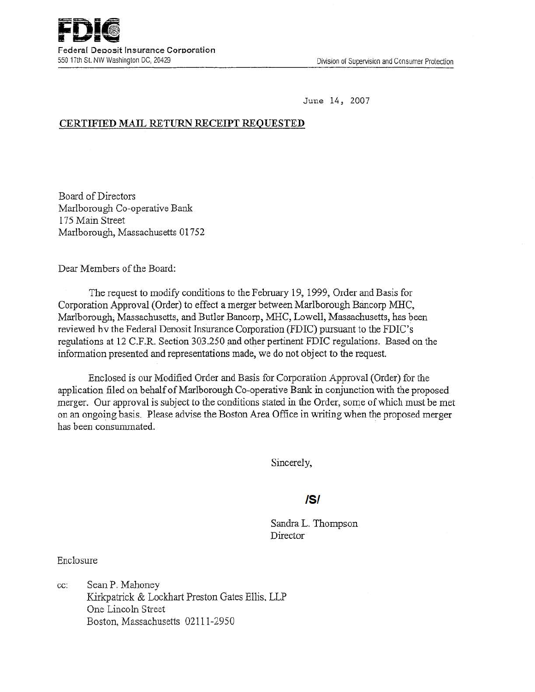June 14, 2007

# CERTIFIED MAIL RETURN RECEIPT REQUESTED

Board of Directors Marlborough Co-operative Bank 175 Main Street Marlborough, Massachusetts 01752

Dear Members of the Board:

The request to modify conditions to the February 19, 1999, Order and Basis for Corporation Approval (Order) to effect a merger between Marlborough Bancorp MHC, Marlborough; Massachusetts, and Butler Bancorp, MHC, Lowell, Massachusetts, has been reviewed hv the Federal Denosit Insurance Corporation (FDIC) pursuant to the FDIC's regulations at 12 C.F.R. Section 303.250 and other pertinent FDIC regulations. Based on the information presented and representations made, we do not object to the request.

Enclosed is our Modified Order and Basis for Corporation Approval (Order) for the application filed on behalf of Marlborough Co-operative Bank in conjunction with the proposed merger. Our approval is subject to the conditions stated in the Order, some of which must be met on an ongoing basis. Please advise the Boston Area Office in writing when the proposed merger has been consummated.

Sincerely,

# IS/

Sandra L. Thompson **Director** 

Enclosure

cc: Sean P. Mahoney Kirkpatrick & Lockhart Preston Gates Ellis. LLP One Lincoln Street Boston, Massachusetts 02111-2950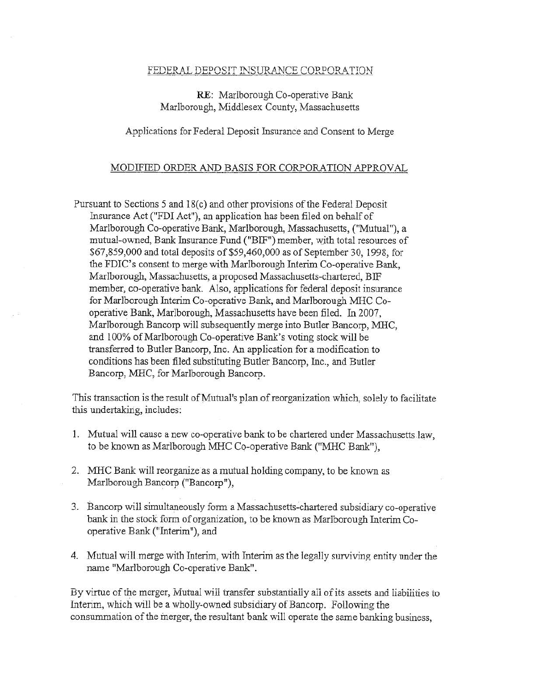### FEDERAL DEPOSIT INSURANCE CORPORATION

## RE: Marlborough Co-operative Bank Marlborough, Middlesex County, Massachusetts

#### Applications for Federal Deposit Insurance and Consent to Merge

### MODIFIED ORDER AND BASIS FOR CORPORATION APPROVAL

Pursuant to Sections 5 and 18(c) and other provisions of the Federal Deposit Insurance Act ("FDI Act"), an application has been filed on behalf of Marlborough Co-operative Bank, Marlborough. Massachusetts, ("Mutual"), a mutual-owned, Bank Insurance Fund ("BIF") member, with total resources of \$67,859,000 and total deposits ~f \$59,460,000 as of September 30, 1998, for the FDIC's consent to merge with Marlborough Interim Co-operative Bank, Marlborough, Massachusetts, a proposed Massachusetts-chartered, BIF member, co-operative bank. Also, applications for federal deposit insurance for Marlborough Interim Co-operative Bank, and Marlborough MHC Cooperative Bank; Marlborough, Massachusetts have been filed. In 2007, Marlborough Bancorp will subsequently merge into Butler Bancorp, MHC, and 100% of Marlborough Co-operative Bank's voting stock will be transferred to Butler Bancorp, Inc. An application for a modification to conditions bas been filed substituting Butler Bancorp, Inc., and Butler Bancorp, MHC, for Marlborough Bancorp.

This transaction is the result of Mutual's plan of reorganization which, solely to facilitate this undertaking, includes:

- 1. Mutual will cause a new co-operative bank to be chartered under Massachusetts law, to be known as Marlborough MHC Co-operative Bank ("MHC Bank"),
- 2. MHC Bank will reorganize as a mutual holding company, to be known as Marlborough Bancorp ("Bancorp"),
- 3. Bancorp will simultaneously form a Massachusetts-chartered subsidiary co-operative bank in the stock form of organization, to be known as Marlborough Interim Cooperative Bank ("Interim"), and
- 4. Mutual will merge with Interim, with Interim as the legally surviving entity under the name "Marlborough Co-operative Bank".

By virtue of the merger, Mutual will transfer substantially all of its assets and liabilities to Interim, which will be a wholly-owned subsidiary of Bancorp. Following the consummation of the merger, the resultant bank will operate the same banking business,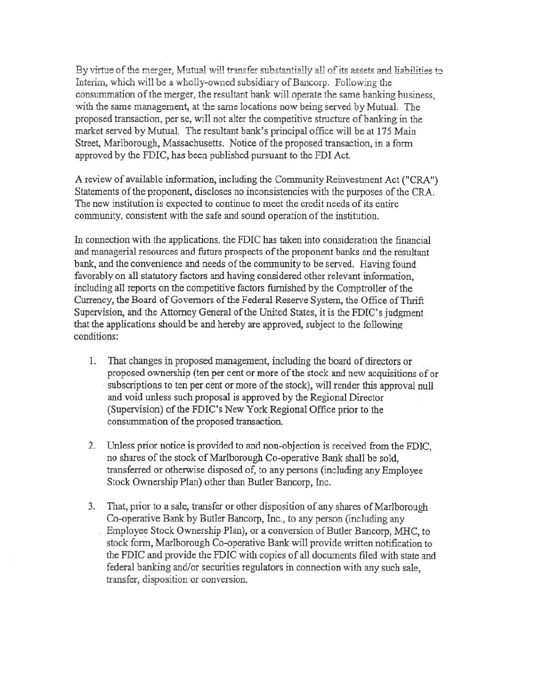By virtue of the merger, Mutual will transfer substantially all of its assets and liabilities to Interim, which will be a wholly-owned subsidiary of Bancorp. Following the consummation of the merger, the resultant bank will operate the same banking business, with the same management, at the same locations now being served by Mutual. The proposed transaction, per se, will not alter the competitive structure ofbanking in the market served by Mutual. The resultant bank's principal office will be at 175 Main Street, Marlborough, Massachusetts. Notice of the proposed transaction, in a form approved by the FDIC, has been published pursuant to the FDI Act.

A review of available information, including the Community Reinvestment Act ("CRA") Statements of the proponent, discloses no inconsistencies with the purposes of the CRA. The new institution is expected to continue to meet the credit needs of its entire community, consistent with the safe and sound operation of the institution.

In connection with the applications, the FDIC has taken into consideration the financial and managerial resources and future prospects of the proponent banks and the resultant bank, and the convenience and needs of the community to be served. Having found favorably on all statutory factors and having considered other relevant information, including all reports on the competitive factors furnished by the Comptroller of the Currency, the Board of Governors of the Federal Reserve System, the Office of Thrift Supervision, and the Attorney General of the United States, it is the FDIC's judgment that the applications should be and hereby are approved, subject to the following conditions:

- 1. That changes in proposed management, including the board of directors or proposed ownership (ten per cent or more of the stock and new acquisitions of or subscriptions to ten per cent or more of the stock), will render this approval null and void unless such proposal is approved by the Regional Director (Supervision) of the FDIC's New York Regional Office prior to the consummation of the proposed transaction.
- 2'. Unless prior notice is provided to and non-objection is received from the FDIC, no shares of the stock of Marlborough Co-operative Bank shall be sold, transferred or othetwise disposed of, to any persons (including any Employee Stock Ownership Plan) other than Butler Bancorp, Inc.
- 3. That, prior to a sale, transfer or other disposition of any shares of Marlborough Co-operative Bank by Butler Bancorp; Inc., to any person (including any Employee Stock Ownership Plan), or a conversion of Butler Bancorp, MHC, to. stock form, Marlborough Co-operative Bank will provide written notification to -the FDIC and provide the FDIC with copies of all documents filed with state and federal banking and/or securities regulators in connection with any such sale, transfer, disposition or conversion.